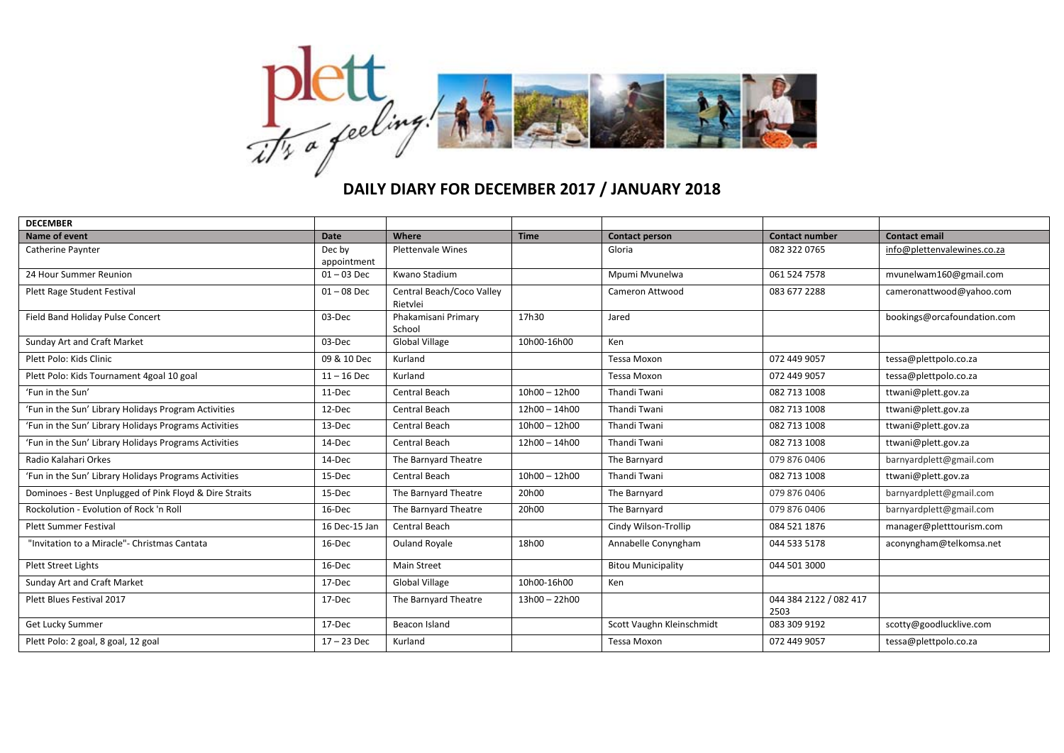

## **DAILY DIARY FOR DECEMBER 2017 / JANUARY 2018**

| <b>DECEMBER</b>                                        |                       |                                       |                 |                           |                                |                             |
|--------------------------------------------------------|-----------------------|---------------------------------------|-----------------|---------------------------|--------------------------------|-----------------------------|
| Name of event                                          | Date                  | Where                                 | <b>Time</b>     | <b>Contact person</b>     | <b>Contact number</b>          | <b>Contact email</b>        |
| Catherine Paynter                                      | Dec by<br>appointment | <b>Plettenvale Wines</b>              |                 | Gloria                    | 082 322 0765                   | info@plettenvalewines.co.za |
| 24 Hour Summer Reunion                                 | $01 - 03$ Dec         | Kwano Stadium                         |                 | Mpumi Mvunelwa            | 061 524 7578                   | mvunelwam160@gmail.com      |
| Plett Rage Student Festival                            | $01 - 08$ Dec         | Central Beach/Coco Valley<br>Rietvlei |                 | Cameron Attwood           | 083 677 2288                   | cameronattwood@yahoo.com    |
| Field Band Holiday Pulse Concert                       | 03-Dec                | Phakamisani Primary<br>School         | 17h30           | Jared                     |                                | bookings@orcafoundation.com |
| Sunday Art and Craft Market                            | 03-Dec                | Global Village                        | 10h00-16h00     | Ken                       |                                |                             |
| Plett Polo: Kids Clinic                                | 09 & 10 Dec           | Kurland                               |                 | <b>Tessa Moxon</b>        | 072 449 9057                   | tessa@plettpolo.co.za       |
| Plett Polo: Kids Tournament 4goal 10 goal              | $11 - 16$ Dec         | Kurland                               |                 | Tessa Moxon               | 072 449 9057                   | tessa@plettpolo.co.za       |
| 'Fun in the Sun'                                       | 11-Dec                | Central Beach                         | $10h00 - 12h00$ | Thandi Twani              | 082 713 1008                   | ttwani@plett.gov.za         |
| 'Fun in the Sun' Library Holidays Program Activities   | 12-Dec                | Central Beach                         | 12h00 - 14h00   | Thandi Twani              | 082 713 1008                   | ttwani@plett.gov.za         |
| 'Fun in the Sun' Library Holidays Programs Activities  | 13-Dec                | Central Beach                         | $10h00 - 12h00$ | Thandi Twani              | 082 713 1008                   | ttwani@plett.gov.za         |
| 'Fun in the Sun' Library Holidays Programs Activities  | 14-Dec                | Central Beach                         | 12h00 - 14h00   | Thandi Twani              | 082 713 1008                   | ttwani@plett.gov.za         |
| Radio Kalahari Orkes                                   | 14-Dec                | The Barnyard Theatre                  |                 | The Barnyard              | 079 876 0406                   | barnyardplett@gmail.com     |
| 'Fun in the Sun' Library Holidays Programs Activities  | 15-Dec                | Central Beach                         | $10h00 - 12h00$ | Thandi Twani              | 082 713 1008                   | ttwani@plett.gov.za         |
| Dominoes - Best Unplugged of Pink Floyd & Dire Straits | 15-Dec                | The Barnyard Theatre                  | 20h00           | The Barnyard              | 079 876 0406                   | barnyardplett@gmail.com     |
| Rockolution - Evolution of Rock 'n Roll                | 16-Dec                | The Barnyard Theatre                  | 20h00           | The Barnyard              | 079 876 0406                   | barnyardplett@gmail.com     |
| <b>Plett Summer Festival</b>                           | 16 Dec-15 Jan         | Central Beach                         |                 | Cindy Wilson-Trollip      | 084 521 1876                   | manager@pletttourism.com    |
| "Invitation to a Miracle"- Christmas Cantata           | 16-Dec                | <b>Ouland Royale</b>                  | 18h00           | Annabelle Conyngham       | 044 533 5178                   | aconyngham@telkomsa.net     |
| <b>Plett Street Lights</b>                             | 16-Dec                | <b>Main Street</b>                    |                 | <b>Bitou Municipality</b> | 044 501 3000                   |                             |
| Sunday Art and Craft Market                            | 17-Dec                | Global Village                        | 10h00-16h00     | Ken                       |                                |                             |
| Plett Blues Festival 2017                              | 17-Dec                | The Barnyard Theatre                  | 13h00 - 22h00   |                           | 044 384 2122 / 082 417<br>2503 |                             |
| Get Lucky Summer                                       | 17-Dec                | Beacon Island                         |                 | Scott Vaughn Kleinschmidt | 083 309 9192                   | scotty@goodlucklive.com     |
| Plett Polo: 2 goal, 8 goal, 12 goal                    | $17 - 23$ Dec         | Kurland                               |                 | <b>Tessa Moxon</b>        | 072 449 9057                   | tessa@plettpolo.co.za       |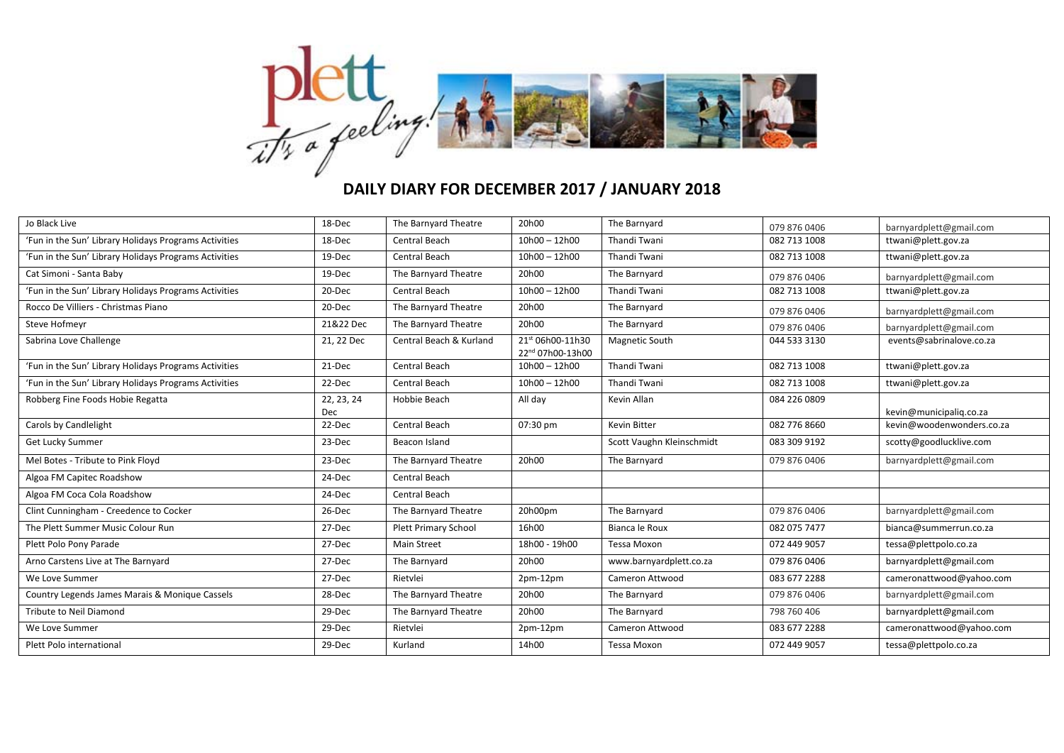

## **DAILY DIARY FOR DECEMBER 2017 / JANUARY 2018**

| Jo Black Live                                         | 18-Dec            | The Barnyard Theatre        | 20h00                                | The Barnyard              | 079 876 0406 | barnyardplett@gmail.com   |
|-------------------------------------------------------|-------------------|-----------------------------|--------------------------------------|---------------------------|--------------|---------------------------|
| 'Fun in the Sun' Library Holidays Programs Activities | 18-Dec            | Central Beach               | $10h00 - 12h00$                      | <b>Thandi Twani</b>       | 082 713 1008 | ttwani@plett.gov.za       |
| 'Fun in the Sun' Library Holidays Programs Activities | 19-Dec            | Central Beach               | $10h00 - 12h00$                      | Thandi Twani              | 082 713 1008 | ttwani@plett.gov.za       |
| Cat Simoni - Santa Baby                               | 19-Dec            | The Barnyard Theatre        | 20h00                                | The Barnyard              | 079 876 0406 | barnyardplett@gmail.com   |
| 'Fun in the Sun' Library Holidays Programs Activities | 20-Dec            | Central Beach               | $10h00 - 12h00$                      | Thandi Twani              | 082 713 1008 | ttwani@plett.gov.za       |
| Rocco De Villiers - Christmas Piano                   | 20-Dec            | The Barnyard Theatre        | 20h00                                | The Barnyard              | 079 876 0406 | barnyardplett@gmail.com   |
| Steve Hofmeyr                                         | 21&22 Dec         | The Barnyard Theatre        | 20h00                                | The Barnyard              | 079 876 0406 | barnyardplett@gmail.com   |
| Sabrina Love Challenge                                | 21, 22 Dec        | Central Beach & Kurland     | 21st 06h00-11h30<br>22nd 07h00-13h00 | <b>Magnetic South</b>     | 044 533 3130 | events@sabrinalove.co.za  |
| 'Fun in the Sun' Library Holidays Programs Activities | 21-Dec            | Central Beach               | $10h00 - 12h00$                      | Thandi Twani              | 082 713 1008 | ttwani@plett.gov.za       |
| 'Fun in the Sun' Library Holidays Programs Activities | 22-Dec            | Central Beach               | $10h00 - 12h00$                      | <b>Thandi Twani</b>       | 082 713 1008 | ttwani@plett.gov.za       |
| Robberg Fine Foods Hobie Regatta                      | 22, 23, 24<br>Dec | Hobbie Beach                | All day                              | Kevin Allan               | 084 226 0809 | kevin@municipaliq.co.za   |
| Carols by Candlelight                                 | 22-Dec            | Central Beach               | 07:30 pm                             | <b>Kevin Bitter</b>       | 082 776 8660 | kevin@woodenwonders.co.za |
| Get Lucky Summer                                      | 23-Dec            | Beacon Island               |                                      | Scott Vaughn Kleinschmidt | 083 309 9192 | scotty@goodlucklive.com   |
| Mel Botes - Tribute to Pink Floyd                     | 23-Dec            | The Barnyard Theatre        | 20h00                                | The Barnyard              | 079 876 0406 | barnyardplett@gmail.com   |
| Algoa FM Capitec Roadshow                             | 24-Dec            | Central Beach               |                                      |                           |              |                           |
| Algoa FM Coca Cola Roadshow                           | 24-Dec            | Central Beach               |                                      |                           |              |                           |
| Clint Cunningham - Creedence to Cocker                | 26-Dec            | The Barnyard Theatre        | 20h00pm                              | The Barnyard              | 079 876 0406 | barnyardplett@gmail.com   |
| The Plett Summer Music Colour Run                     | 27-Dec            | <b>Plett Primary School</b> | 16h00                                | Bianca le Roux            | 082 075 7477 | bianca@summerrun.co.za    |
| Plett Polo Pony Parade                                | 27-Dec            | <b>Main Street</b>          | 18h00 - 19h00                        | <b>Tessa Moxon</b>        | 072 449 9057 | tessa@plettpolo.co.za     |
| Arno Carstens Live at The Barnyard                    | 27-Dec            | The Barnyard                | 20h00                                | www.barnyardplett.co.za   | 079 876 0406 | barnyardplett@gmail.com   |
| We Love Summer                                        | 27-Dec            | Rietvlei                    | $2pm-12pm$                           | Cameron Attwood           | 083 677 2288 | cameronattwood@yahoo.com  |
| Country Legends James Marais & Monique Cassels        | 28-Dec            | The Barnyard Theatre        | 20h00                                | The Barnyard              | 079 876 0406 | barnyardplett@gmail.com   |
| Tribute to Neil Diamond                               | 29-Dec            | The Barnyard Theatre        | 20h00                                | The Barnyard              | 798 760 406  | barnyardplett@gmail.com   |
| We Love Summer                                        | 29-Dec            | Rietvlei                    | $2pm-12pm$                           | Cameron Attwood           | 083 677 2288 | cameronattwood@yahoo.com  |
| Plett Polo international                              | 29-Dec            | Kurland                     | 14h00                                | <b>Tessa Moxon</b>        | 072 449 9057 | tessa@plettpolo.co.za     |